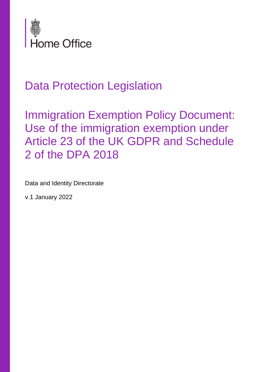

# Data Protection Legislation

Immigration Exemption Policy Document: Use of the immigration exemption under Article 23 of the UK GDPR and Schedule 2 of the DPA 2018

Data and Identity Directorate

v.1 January 2022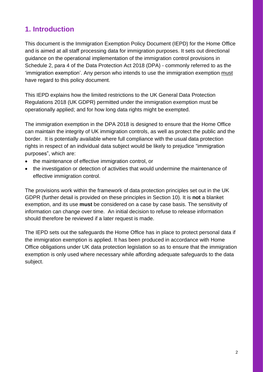# **1. Introduction**

This document is the Immigration Exemption Policy Document (IEPD) for the Home Office and is aimed at all staff processing data for immigration purposes. It sets out directional guidance on the operational implementation of the immigration control provisions in Schedule 2, para 4 of the Data Protection Act 2018 (DPA) - commonly referred to as the 'immigration exemption'. Any person who intends to use the immigration exemption must have regard to this policy document.

This IEPD explains how the limited restrictions to the UK General Data Protection Regulations 2018 (UK GDPR) permitted under the immigration exemption must be operationally applied; and for how long data rights might be exempted.

The immigration exemption in the DPA 2018 is designed to ensure that the Home Office can maintain the integrity of UK immigration controls, as well as protect the public and the border. It is potentially available where full compliance with the usual data protection rights in respect of an individual data subject would be likely to prejudice "immigration purposes", which are:

- the maintenance of effective immigration control, or
- the investigation or detection of activities that would undermine the maintenance of effective immigration control.

The provisions work within the framework of data protection principles set out in the UK GDPR (further detail is provided on these principles in Section 10). It is **not** a blanket exemption, and its use **must** be considered on a case by case basis. The sensitivity of information can change over time. An initial decision to refuse to release information should therefore be reviewed if a later request is made.

The IEPD sets out the safeguards the Home Office has in place to protect personal data if the immigration exemption is applied. It has been produced in accordance with Home Office obligations under UK data protection legislation so as to ensure that the immigration exemption is only used where necessary while affording adequate safeguards to the data subject.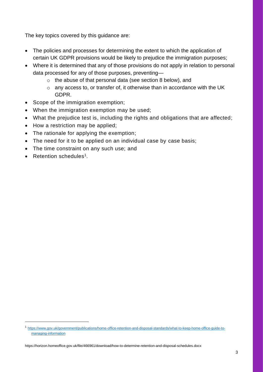The key topics covered by this guidance are:

- The policies and processes for determining the extent to which the application of certain UK GDPR provisions would be likely to prejudice the immigration purposes;
- Where it is determined that any of those provisions do not apply in relation to personal data processed for any of those purposes, preventing
	- o the abuse of that personal data (see section 8 below), and
	- o any access to, or transfer of, it otherwise than in accordance with the UK GDPR.
- Scope of the immigration exemption;
- When the immigration exemption may be used;
- What the prejudice test is, including the rights and obligations that are affected;
- How a restriction may be applied;
- The rationale for applying the exemption;
- The need for it to be applied on an individual case by case basis;
- The time constraint on any such use; and
- Retention schedules<sup>1</sup>.

<sup>1</sup> [https://www.gov.uk/government/publications/home-office-retention-and-disposal-standards/what-to-keep-home-office-guide-to](https://www.gov.uk/government/publications/home-office-retention-and-disposal-standards/what-to-keep-home-office-guide-to-managing-information)[managing-information](https://www.gov.uk/government/publications/home-office-retention-and-disposal-standards/what-to-keep-home-office-guide-to-managing-information)

https://horizon.homeoffice.gov.uk/file/466961/download/how-to-determine-retention-and-disposal-schedules.docx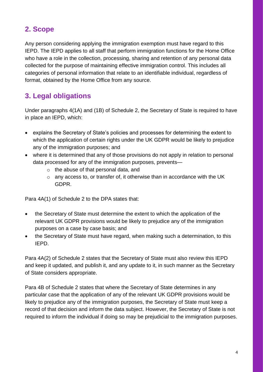# **2. Scope**

Any person considering applying the immigration exemption must have regard to this IEPD. The IEPD applies to all staff that perform immigration functions for the Home Office who have a role in the collection, processing, sharing and retention of any personal data collected for the purpose of maintaining effective immigration control. This includes all categories of personal information that relate to an identifiable individual, regardless of format, obtained by the Home Office from any source.

# **3. Legal obligations**

Under paragraphs 4(1A) and (1B) of Schedule 2, the Secretary of State is required to have in place an IEPD, which:

- explains the Secretary of State's policies and processes for determining the extent to which the application of certain rights under the UK GDPR would be likely to prejudice any of the immigration purposes; and
- where it is determined that any of those provisions do not apply in relation to personal data processed for any of the immigration purposes, prevents
	- o the abuse of that personal data, and
	- o any access to, or transfer of, it otherwise than in accordance with the UK GDPR.

Para 4A(1) of Schedule 2 to the DPA states that:

- the Secretary of State must determine the extent to which the application of the relevant UK GDPR provisions would be likely to prejudice any of the immigration purposes on a case by case basis; and
- the Secretary of State must have regard, when making such a determination, to this IEPD.

Para 4A(2) of Schedule 2 states that the Secretary of State must also review this IEPD and keep it updated, and publish it, and any update to it, in such manner as the Secretary of State considers appropriate.

Para 4B of Schedule 2 states that where the Secretary of State determines in any particular case that the application of any of the relevant UK GDPR provisions would be likely to prejudice any of the immigration purposes, the Secretary of State must keep a record of that decision and inform the data subject. However, the Secretary of State is not required to inform the individual if doing so may be prejudicial to the immigration purposes.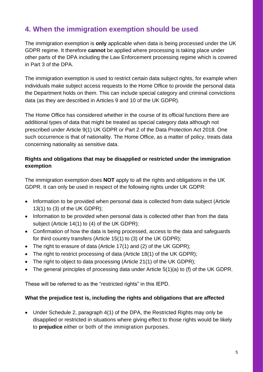### **4. When the immigration exemption should be used**

The immigration exemption is **only** applicable when data is being processed under the UK GDPR regime. It therefore **cannot** be applied where processing is taking place under other parts of the DPA including the Law Enforcement processing regime which is covered in Part 3 of the DPA.

The immigration exemption is used to restrict certain data subject rights, for example when individuals make subject access requests to the Home Office to provide the personal data the Department holds on them. This can include special category and criminal convictions data (as they are described in Articles 9 and 10 of the UK GDPR).

The Home Office has considered whether in the course of its official functions there are additional types of data that might be treated as special category data although not prescribed under Article 9(1) UK GDPR or Part 2 of the Data Protection Act 2018. One such occurrence is that of nationality. The Home Office, as a matter of policy, treats data concerning nationality as sensitive data.

### **Rights and obligations that may be disapplied or restricted under the immigration exemption**

The immigration exemption does **NOT** apply to all the rights and obligations in the UK GDPR. It can only be used in respect of the following rights under UK GDPR:

- Information to be provided when personal data is collected from data subiect (Article 13(1) to (3) of the UK GDPR);
- Information to be provided when personal data is collected other than from the data subject (Article 14(1) to (4) of the UK GDPR);
- Confirmation of how the data is being processed, access to the data and safeguards for third country transfers (Article 15(1) to (3) of the UK GDPR);
- The right to erasure of data (Article 17(1) and (2) of the UK GDPR);
- The right to restrict processing of data (Article 18(1) of the UK GDPR):
- The right to object to data processing (Article 21(1) of the UK GDPR);
- The general principles of processing data under Article 5(1)(a) to (f) of the UK GDPR.

These will be referred to as the "restricted rights" in this IEPD.

#### **What the prejudice test is, including the rights and obligations that are affected**

• Under Schedule 2, paragraph 4(1) of the DPA, the Restricted Rights may only be disapplied or restricted in situations where giving effect to those rights would be likely to **prejudice** either or both of the immigration purposes.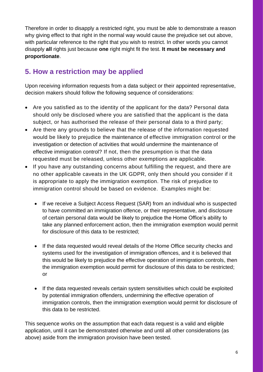Therefore in order to disapply a restricted right, you must be able to demonstrate a reason why giving effect to that right in the normal way would cause the prejudice set out above, with particular reference to the right that you wish to restrict. In other words you cannot disapply **all** rights just because **one** right might fit the test. **It must be necessary and proportionate**.

### **5. How a restriction may be applied**

Upon receiving information requests from a data subject or their appointed representative, decision makers should follow the following sequence of considerations:

- Are you satisfied as to the identity of the applicant for the data? Personal data should only be disclosed where you are satisfied that the applicant is the data subject, or has authorised the release of their personal data to a third party;
- Are there any grounds to believe that the release of the information requested would be likely to prejudice the maintenance of effective immigration control or the investigation or detection of activities that would undermine the maintenance of effective immigration control? If not, then the presumption is that the data requested must be released, unless other exemptions are applicable.
- If you have any outstanding concerns about fulfilling the request, and there are no other applicable caveats in the UK GDPR, only then should you consider if it is appropriate to apply the immigration exemption. The risk of prejudice to immigration control should be based on evidence. Examples might be:
	- If we receive a Subject Access Request (SAR) from an individual who is suspected to have committed an immigration offence, or their representative, and disclosure of certain personal data would be likely to prejudice the Home Office's ability to take any planned enforcement action, then the immigration exemption would permit for disclosure of this data to be restricted;
	- If the data requested would reveal details of the Home Office security checks and systems used for the investigation of immigration offences, and it is believed that this would be likely to prejudice the effective operation of immigration controls, then the immigration exemption would permit for disclosure of this data to be restricted; or
	- If the data requested reveals certain system sensitivities which could be exploited by potential immigration offenders, undermining the effective operation of immigration controls, then the immigration exemption would permit for disclosure of this data to be restricted.

This sequence works on the assumption that each data request is a valid and eligible application, until it can be demonstrated otherwise and until all other considerations (as above) aside from the immigration provision have been tested.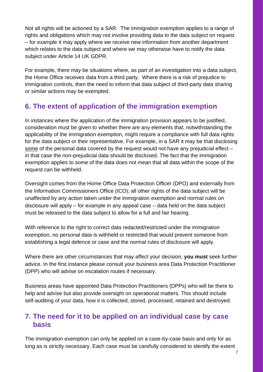Not all rights will be actioned by a SAR. The immigration exemption applies to a range of rights and obligations which may not involve providing data to the data subject on request – for example it may apply where we receive new information from another department which relates to the data subject and where we may otherwise have to notify the data subject under Article 14 UK GDPR.

For example, there may be situations where, as part of an investigation into a data subject, the Home Office receives data from a third party. Where there is a risk of prejudice to immigration controls, then the need to inform that data subject of third-party data sharing or similar actions may be exempted.

## **6. The extent of application of the immigration exemption**

In instances where the application of the immigration provision appears to be justified, consideration must be given to whether there are any elements that, notwithstanding the applicability of the immigration exemption, might require a compliance with full data rights for the data subject or their representative. For example, in a SAR it may be that disclosing some of the personal data covered by the request would not have any prejudicial effect – in that case the non-prejudicial data should be disclosed. The fact that the immigration exemption applies to some of the data does not mean that all data within the scope of the request can be withheld.

Oversight comes from the Home Office Data Protection Officer (DPO) and externally from the Information Commissioners Office (ICO); all other rights of the data subject will be unaffected by any action taken under the immigration exemption and normal rules on disclosure will apply – for example in any appeal case – data held on the data subject must be released to the data subject to allow for a full and fair hearing.

With reference to the right to correct data redacted/restricted under the immigration exemption, no personal data is withheld or restricted that would prevent someone from establishing a legal defence or case and the normal rules of disclosure will apply.

Where there are other circumstances that may affect your decision, **you must** seek further advice. In the first instance please consult your business area Data Protection Practitioner (DPP) who will advise on escalation routes if necessary.

Business areas have appointed Data Protection Practitioners (DPPs) who will be there to help and advise but also provide oversight on operational matters. This should include self-auditing of your data, how it is collected, stored, processed, retained and destroyed.

### **7. The need for it to be applied on an individual case by case basis**

The immigration exemption can only be applied on a case-by-case basis and only for as long as is strictly necessary. Each case must be carefully considered to identify the extent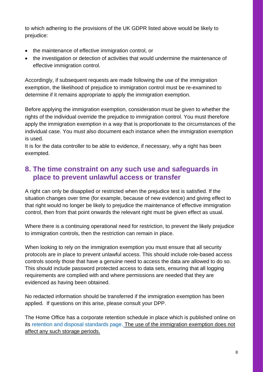to which adhering to the provisions of the UK GDPR listed above would be likely to prejudice:

- the maintenance of effective immigration control, or
- the investigation or detection of activities that would undermine the maintenance of effective immigration control.

Accordingly, if subsequent requests are made following the use of the immigration exemption, the likelihood of prejudice to immigration control must be re-examined to determine if it remains appropriate to apply the immigration exemption.

Before applying the immigration exemption, consideration must be given to whether the rights of the individual override the prejudice to immigration control. You must therefore apply the immigration exemption in a way that is proportionate to the circumstances of the individual case. You must also document each instance when the immigration exemption is used.

It is for the data controller to be able to evidence, if necessary, why a right has been exempted.

### **8. The time constraint on any such use and safeguards in place to prevent unlawful access or transfer**

A right can only be disapplied or restricted when the prejudice test is satisfied. If the situation changes over time (for example, because of new evidence) and giving effect to that right would no longer be likely to prejudice the maintenance of effective immigration control, then from that point onwards the relevant right must be given effect as usual.

Where there is a continuing operational need for restriction, to prevent the likely prejudice to immigration controls, then the restriction can remain in place.

When looking to rely on the immigration exemption you must ensure that all security protocols are in place to prevent unlawful access. This should include role-based access controls soonly those that have a genuine need to access the data are allowed to do so. This should include password protected access to data sets, ensuring that all logging requirements are complied with and where permissions are needed that they are evidenced as having been obtained.

No redacted information should be transferred if the immigration exemption has been applied. If questions on this arise, please consult your DPP.

The Home Office has a corporate retention schedule in place which is published online on its [retention and disposal standards page.](https://www.gov.uk/government/publications/home-office-retention-and-disposal-standards/what-to-keep-home-office-guide-to-managing-information) The use of the immigration exemption does not affect any such storage periods.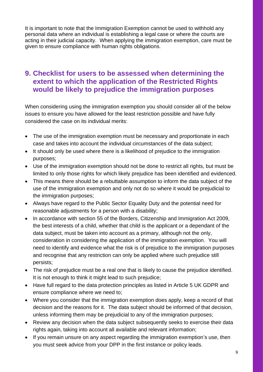It is important to note that the Immigration Exemption cannot be used to withhold any personal data where an individual is establishing a legal case or where the courts are acting in their judicial capacity. When applying the immigration exemption, care must be given to ensure compliance with human rights obligations.

### **9. Checklist for users to be assessed when determining the extent to which the application of the Restricted Rights would be likely to prejudice the immigration purposes**

When considering using the immigration exemption you should consider all of the below issues to ensure you have allowed for the least restriction possible and have fully considered the case on its individual merits:

- The use of the immigration exemption must be necessary and proportionate in each case and takes into account the individual circumstances of the data subject;
- It should only be used where there is a likelihood of prejudice to the immigration purposes;
- Use of the immigration exemption should not be done to restrict all rights, but must be limited to only those rights for which likely prejudice has been identified and evidenced.
- This means there should be a rebuttable assumption to inform the data subject of the use of the immigration exemption and only not do so where it would be prejudicial to the immigration purposes;
- Always have regard to the Public Sector Equality Duty and the potential need for reasonable adjustments for a person with a disability;
- In accordance with section 55 of the Borders, Citizenship and Immigration Act 2009, the best interests of a child, whether that child is the applicant or a dependant of the data subject, must be taken into account as a primary, although not the only, consideration in considering the application of the immigration exemption. You will need to identify and evidence what the risk is of prejudice to the immigration purposes and recognise that any restriction can only be applied where such prejudice still persists;
- The risk of prejudice must be a real one that is likely to cause the prejudice identified. It is not enough to think it might lead to such prejudice;
- Have full regard to the data protection principles as listed in Article 5 UK GDPR and ensure compliance where we need to;
- Where you consider that the immigration exemption does apply, keep a record of that decision and the reasons for it. The data subject should be informed of that decision, unless informing them may be prejudicial to any of the immigration purposes;
- Review any decision when the data subject subsequently seeks to exercise their data rights again, taking into account all available and relevant information;
- If you remain unsure on any aspect regarding the immigration exemption's use, then you must seek advice from your DPP in the first instance or policy leads.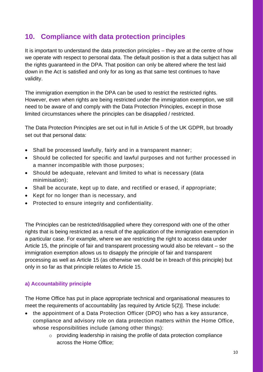### **10. Compliance with data protection principles**

It is important to understand the data protection principles – they are at the centre of how we operate with respect to personal data. The default position is that a data subject has all the rights guaranteed in the DPA. That position can only be altered where the test laid down in the Act is satisfied and only for as long as that same test continues to have validity.

The immigration exemption in the DPA can be used to restrict the restricted rights. However, even when rights are being restricted under the immigration exemption, we still need to be aware of and comply with the Data Protection Principles, except in those limited circumstances where the principles can be disapplied / restricted.

The Data Protection Principles are set out in full in Article 5 of the UK GDPR, but broadly set out that personal data:

- Shall be processed lawfully, fairly and in a transparent manner;
- Should be collected for specific and lawful purposes and not further processed in a manner incompatible with those purposes;
- Should be adequate, relevant and limited to what is necessary (data minimisation);
- Shall be accurate, kept up to date, and rectified or erased, if appropriate;
- Kept for no longer than is necessary, and
- Protected to ensure integrity and confidentiality.

The Principles can be restricted/disapplied where they correspond with one of the other rights that is being restricted as a result of the application of the immigration exemption in a particular case. For example, where we are restricting the right to access data under Article 15, the principle of fair and transparent processing would also be relevant – so the immigration exemption allows us to disapply the principle of fair and transparent processing as well as Article 15 (as otherwise we could be in breach of this principle) but only in so far as that principle relates to Article 15.

### **a) Accountability principle**

The Home Office has put in place appropriate technical and organisational measures to meet the requirements of accountability [as required by Article 5(2)]. These include:

- the appointment of a Data Protection Officer (DPO) who has a key assurance, compliance and advisory role on data protection matters within the Home Office, whose responsibilities include (among other things):
	- o providing leadership in raising the profile of data protection compliance across the Home Office;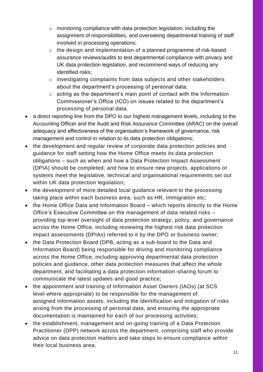- $\circ$  monitoring compliance with data protection legislation, including the assignment of responsibilities, and overseeing departmental training of staff involved in processing operations;
- o the design and implementation of a planned programme of risk-based assurance reviews/audits to test departmental compliance with privacy and UK data protection legislation, and recommend ways of reducing any identified risks;
- o investigating complaints from data subjects and other stakeholders about the department's processing of personal data;
- o acting as the department's main point of contact with the Information Commissioner's Office (ICO) on issues related to the department's processing of personal data.
- a direct reporting line from the DPO to our highest management levels, including to the Accounting Officer and the Audit and Risk Assurance Committee (ARAC) on the overall adequacy and effectiveness of the organisation's framework of governance, risk management and control in relation to its data protection obligations;
- the development and regular review of corporate data protection policies and guidance for staff setting how the Home Office meets its data protection obligations – such as when and how a Data Protection Impact Assessment (DPIA) should be completed; and how to ensure new projects, applications or systems meet the legislative, technical and organisational requirements set out within UK data protection legislation;
- the development of more detailed local guidance relevant to the processing taking place within each business area, such as HR, Immigration etc;
- the Home Office Data and Information Board which reports directly to the Home Office's Executive Committee on the management of data related risks – providing top-level oversight of data protection strategy, policy, and governance across the Home Office, including reviewing the highest risk data protection impact assessments (DPIAs) referred to it by the DPO or business owner;
- the Data Protection Board (DPB, acting as a sub-board to the Data and Information Board) being responsible for driving and monitoring compliance across the Home Office, including approving departmental data protection policies and guidance, other data protection measures that affect the whole department, and facilitating a data protection information-sharing forum to communicate the latest updates and good practice;
- the appointment and training of Information Asset Owners (IAOs) (at SCS level where appropriate) to be responsible for the management of assigned information assets, including the identification and mitigation of risks arising from the processing of personal data, and ensuring the appropriate documentation is maintained for each of our processing activities;
- the establishment, management and on-going training of a Data Protection Practitioner (DPP) network across the department, comprising staff who provide advice on data protection matters and take steps to ensure compliance within their local business area;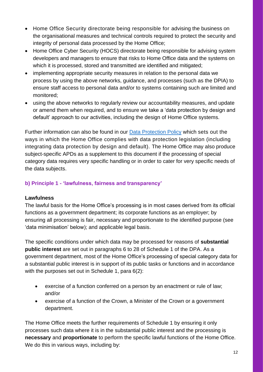- Home Office Security directorate being responsible for advising the business on the organisational measures and technical controls required to protect the security and integrity of personal data processed by the Home Office;
- Home Office Cyber Security (HOCS) directorate being responsible for advising system developers and managers to ensure that risks to Home Office data and the systems on which it is processed, stored and transmitted are identified and mitigated:
- implementing appropriate security measures in relation to the personal data we process by using the above networks, guidance, and processes (such as the DPIA) to ensure staff access to personal data and/or to systems containing such are limited and monitored;
- using the above networks to regularly review our accountability measures, and update or amend them when required, and to ensure we take a 'data protection by design and default' approach to our activities, including the design of Home Office systems.

Further information can also be found in our [Data Protection Policy](https://horizon.homeoffice.gov.uk/file/477442/download/data-protection-policy.doc) which sets out the ways in which the Home Office complies with data protection legislation (including integrating data protection by design and default). The Home Office may also produce subject-specific APDs as a supplement to this document if the processing of special category data requires very specific handling or in order to cater for very specific needs of the data subjects.

#### **b) Principle 1 - 'lawfulness, fairness and transparency'**

#### **Lawfulness**

The lawful basis for the Home Office's processing is in most cases derived from its official functions as a government department; its corporate functions as an employer; by ensuring all processing is fair, necessary and proportionate to the identified purpose (see 'data minimisation' below); and applicable legal basis.

The specific conditions under which data may be processed for reasons of **substantial public interest** are set out in paragraphs 6 to 28 of Schedule 1 of the DPA. As a government department, most of the Home Office's processing of special category data for a substantial public interest is in support of its public tasks or functions and in accordance with the purposes set out in Schedule 1, para 6(2):

- exercise of a function conferred on a person by an enactment or rule of law; and/or
- exercise of a function of the Crown, a Minister of the Crown or a government department.

The Home Office meets the further requirements of Schedule 1 by ensuring it only processes such data where it is in the substantial public interest and the processing is **necessary** and **proportionate** to perform the specific lawful functions of the Home Office. We do this in various ways, including by: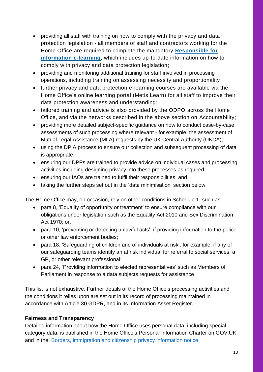- providing all staff with training on how to comply with the privacy and data protection legislation - all members of staff and contractors working for the Home Office are required to complete the mandatory **[Responsible](https://civilservicelearning.civilservice.gov.uk/responsible-information) for [information](https://civilservicelearning.civilservice.gov.uk/responsible-information) e-learning**, which includes up-to-date information on how to comply with privacy and data protection legislation;
- providing and monitoring additional training for staff involved in processing operations, including training on assessing necessity and proportionality:
- further privacy and data protection e-learning courses are available via the Home Office's online learning portal (Metis Learn) for all staff to improve their data protection awareness and understanding;
- tailored training and advice is also provided by the ODPO across the Home Office, and via the networks described in the above section on Accountability;
- providing more detailed subject-specific guidance on how to conduct case-by-case assessments of such processing where relevant - for example, the assessment of Mutual Legal Assistance (MLA) requests by the UK Central Authority (UKCA);
- using the DPIA process to ensure our collection and subsequent processing of data is appropriate;
- ensuring our DPPs are trained to provide advice on individual cases and processing activities including designing privacy into these processes as required;
- ensuring our IAOs are trained to fulfil their responsibilities; and
- taking the further steps set out in the 'data minimisation' section below.

The Home Office may, on occasion, rely on other conditions in Schedule 1, such as:

- para 8, 'Equality of opportunity or treatment' to ensure compliance with our obligations under legislation such as the Equality Act 2010 and Sex Discrimination Act 1970; or,
- para 10, 'preventing or detecting unlawful acts', if providing information to the police or other law enforcement bodies;
- para 18, 'Safeguarding of children and of individuals at risk', for example, if any of our safeguarding teams identify an at risk individual for referral to social services, a GP, or other relevant professional;
- para 24, 'Providing information to elected representatives' such as Members of Parliament in response to a data subjects requests for assistance.

This list is not exhaustive. Further details of the Home Office's processing activities and the conditions it relies upon are set out in its record of processing maintained in accordance with Article 30 GDPR, and in its Information Asset Register.

### **Fairness and Transparency**

Detailed information about how the Home Office uses personal data, including special category data, is published in the Home Office's Personal Information Charter on GOV.UK and in the [Borders, immigration and citizenship privacy information notice](file:///C:/Users/BarretT/AppData/Local/Microsoft/Windows/INetCache/Content.Outlook/QOLB0O3B/•%09https:/www.gov.uk/government/publications/personal-information-use-in-borders-immigration-and-citizenship/borders-immigration-and-citizenship-privacy-information-notice)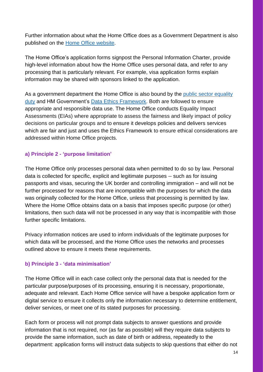Further information about what the Home Office does as a Government Department is also published on the [Home Office](https://www.gov.uk/government/organisations/home-office/about) website.

The Home Office's application forms signpost the Personal Information Charter, provide high-level information about how the Home Office uses personal data, and refer to any processing that is particularly relevant. For example, visa application forms explain information may be shared with sponsors linked to the application.

As a government department the Home Office is also bound by the public sector equality [duty](https://www.gov.uk/government/publications/public-sector-equality-duty) and HM Government's [Data Ethics Framework.](https://www.gov.uk/government/publications/data-ethics-framework/data-ethics-framework-2020) Both are followed to ensure appropriate and responsible data use. The Home Office conducts Equality Impact Assessments (EIAs) where appropriate to assess the fairness and likely impact of policy decisions on particular groups and to ensure it develops policies and delivers services which are fair and just and uses the Ethics Framework to ensure ethical considerations are addressed within Home Office projects.

### **a) Principle 2 - 'purpose limitation'**

The Home Office only processes personal data when permitted to do so by law. Personal data is collected for specific, explicit and legitimate purposes -- such as for issuing passports and visas, securing the UK border and controlling immigration – and will not be further processed for reasons that are incompatible with the purposes for which the data was originally collected for the Home Office, unless that processing is permitted by law. Where the Home Office obtains data on a basis that imposes specific purpose (or other) limitations, then such data will not be processed in any way that is incompatible with those further specific limitations.

Privacy information notices are used to inform individuals of the legitimate purposes for which data will be processed, and the Home Office uses the networks and processes outlined above to ensure it meets these requirements.

#### **b) Principle 3 - 'data minimisation'**

The Home Office will in each case collect only the personal data that is needed for the particular purpose/purposes of its processing, ensuring it is necessary, proportionate, adequate and relevant. Each Home Office service will have a bespoke application form or digital service to ensure it collects only the information necessary to determine entitlement, deliver services, or meet one of its stated purposes for processing.

Each form or process will not prompt data subjects to answer questions and provide information that is not required, nor (as far as possible) will they require data subjects to provide the same information, such as date of birth or address, repeatedly to the department: application forms will instruct data subjects to skip questions that either do not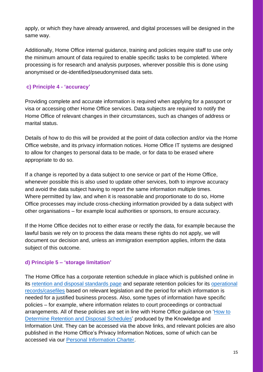apply, or which they have already answered, and digital processes will be designed in the same way.

Additionally, Home Office internal guidance, training and policies require staff to use only the minimum amount of data required to enable specific tasks to be completed. Where processing is for research and analysis purposes, wherever possible this is done using anonymised or de-identified/pseudonymised data sets.

### **c) Principle 4 - 'accuracy'**

Providing complete and accurate information is required when applying for a passport or visa or accessing other Home Office services. Data subjects are required to notify the Home Office of relevant changes in their circumstances, such as changes of address or marital status.

Details of how to do this will be provided at the point of data collection and/or via the Home Office website, and its privacy information notices. Home Office IT systems are designed to allow for changes to personal data to be made, or for data to be erased where appropriate to do so.

If a change is reported by a data subject to one service or part of the Home Office, whenever possible this is also used to update other services, both to improve accuracy and avoid the data subject having to report the same information multiple times. Where permitted by law, and when it is reasonable and proportionate to do so, Home Office processes may include cross-checking information provided by a data subject with other organisations – for example local authorities or sponsors, to ensure accuracy.

If the Home Office decides not to either erase or rectify the data, for example because the lawful basis we rely on to process the data means these rights do not apply, we will document our decision and, unless an immigration exemption applies, inform the data subject of this outcome.

### **d) Principle 5 – 'storage limitation'**

The Home Office has a corporate retention schedule in place which is published online in its [retention and disposal standards page](https://www.gov.uk/government/publications/home-office-retention-and-disposal-standards/what-to-keep-home-office-guide-to-managing-information) and separate retention policies for its [operational](https://horizon.homeoffice.gov.uk/file/547407/download/what-to-keep-operational-records.docx)  [records/casefiles](https://horizon.homeoffice.gov.uk/file/547407/download/what-to-keep-operational-records.docx) based on relevant legislation and the period for which information is needed for a justified business process. Also, some types of information have specific policies – for example, where information relates to court proceedings or contractual arrangements. All of these policies are set in line with Home Office guidance on ['How to](https://horizon.homeoffice.gov.uk/file/466961/download/how-to-determine-retention-and-disposal-schedules.docx)  [Determine Retention and Disposal Schedules'](https://horizon.homeoffice.gov.uk/file/466961/download/how-to-determine-retention-and-disposal-schedules.docx) produced by the Knowledge and Information Unit. They can be accessed via the above links, and relevant policies are also published in the Home Office's Privacy Information Notices, some of which can be accessed via our [Personal Information Charter.](https://www.gov.uk/government/organisations/home-office/about/personal-information-charter)